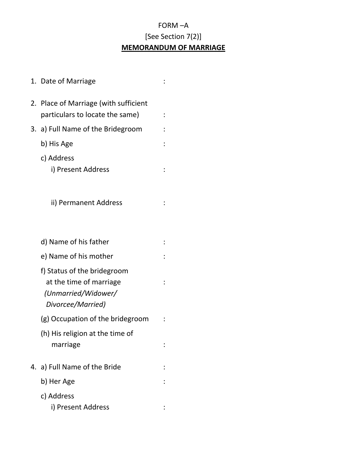## FORM –A [See Section 7(2)] **MEMORANDUM OF MARRIAGE**

|    | 1. Date of Marriage                                                                                |  |
|----|----------------------------------------------------------------------------------------------------|--|
|    | 2. Place of Marriage (with sufficient<br>particulars to locate the same)                           |  |
|    | 3. a) Full Name of the Bridegroom                                                                  |  |
|    | b) His Age                                                                                         |  |
|    | c) Address<br>i) Present Address                                                                   |  |
|    | ii) Permanent Address                                                                              |  |
|    | d) Name of his father                                                                              |  |
|    | e) Name of his mother                                                                              |  |
|    | f) Status of the bridegroom<br>at the time of marriage<br>(Unmarried/Widower/<br>Divorcee/Married) |  |
|    | (g) Occupation of the bridegroom                                                                   |  |
|    | (h) His religion at the time of<br>marriage                                                        |  |
| 4. | a) Full Name of the Bride                                                                          |  |
|    | b) Her Age                                                                                         |  |
|    | c) Address<br>i) Present Address                                                                   |  |